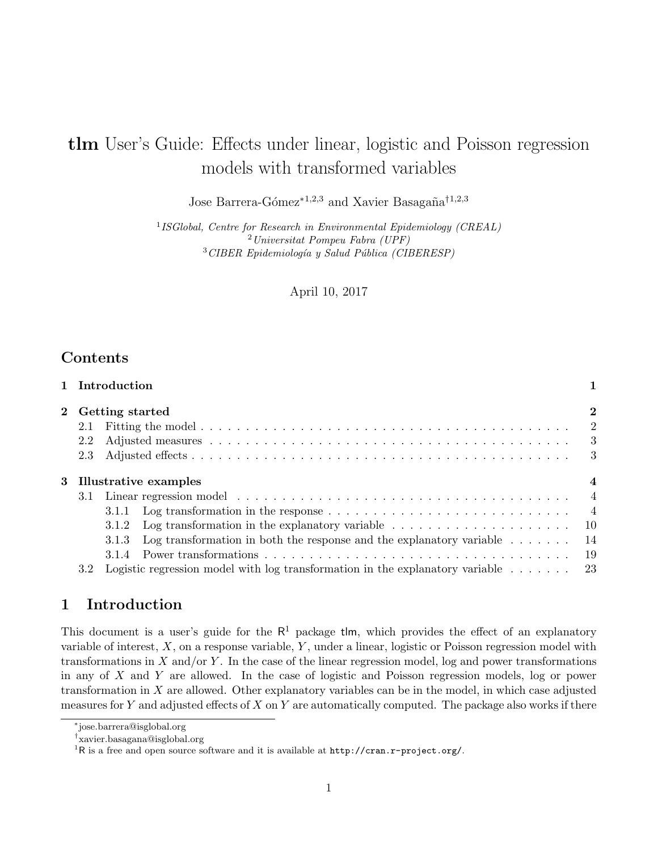# tlm User's Guide: Effects under linear, logistic and Poisson regression models with transformed variables

Jose Barrera-Gómez<sup>∗1,2,3</sup> and Xavier Basagaña<sup>†1,2,3</sup>

<sup>1</sup> ISGlobal, Centre for Research in Environmental Epidemiology (CREAL) <sup>2</sup>Universitat Pompeu Fabra (UPF)  $3$ CIBER Epidemiología y Salud Pública (CIBERESP)

April 10, 2017

## Contents

|     | 1 Introduction                                                                                              |      |  |  |  |  |  |  |
|-----|-------------------------------------------------------------------------------------------------------------|------|--|--|--|--|--|--|
|     | 2 Getting started<br>$\bf{2}$                                                                               |      |  |  |  |  |  |  |
| 2.1 |                                                                                                             |      |  |  |  |  |  |  |
| 2.2 |                                                                                                             |      |  |  |  |  |  |  |
| 2.3 |                                                                                                             |      |  |  |  |  |  |  |
|     | 3 Illustrative examples<br>$\overline{4}$                                                                   |      |  |  |  |  |  |  |
| 3.1 |                                                                                                             |      |  |  |  |  |  |  |
|     | 3.1.1 Log transformation in the response $\ldots \ldots \ldots \ldots \ldots \ldots \ldots \ldots \ldots$   |      |  |  |  |  |  |  |
|     | Log transformation in the explanatory variable $\dots \dots \dots \dots \dots \dots \dots$<br>- 10<br>3.1.2 |      |  |  |  |  |  |  |
|     | Log transformation in both the response and the explanatory variable $\dots \dots$<br>3.1.3                 | - 14 |  |  |  |  |  |  |
|     | 3.1.4                                                                                                       | -19  |  |  |  |  |  |  |
| 3.2 | Logistic regression model with log transformation in the explanatory variable $\ldots \ldots$ 23            |      |  |  |  |  |  |  |

# 1 Introduction

This document is a user's guide for the  $R<sup>1</sup>$  package tlm, which provides the effect of an explanatory variable of interest,  $X$ , on a response variable,  $Y$ , under a linear, logistic or Poisson regression model with transformations in  $X$  and/or  $Y$ . In the case of the linear regression model, log and power transformations in any of  $X$  and  $Y$  are allowed. In the case of logistic and Poisson regression models, log or power transformation in X are allowed. Other explanatory variables can be in the model, in which case adjusted measures for Y and adjusted effects of X on Y are automatically computed. The package also works if there

<sup>∗</sup> jose.barrera@isglobal.org

<sup>†</sup> xavier.basagana@isglobal.org

<sup>&</sup>lt;sup>1</sup>R is a free and open source software and it is available at http://cran.r-project.org/.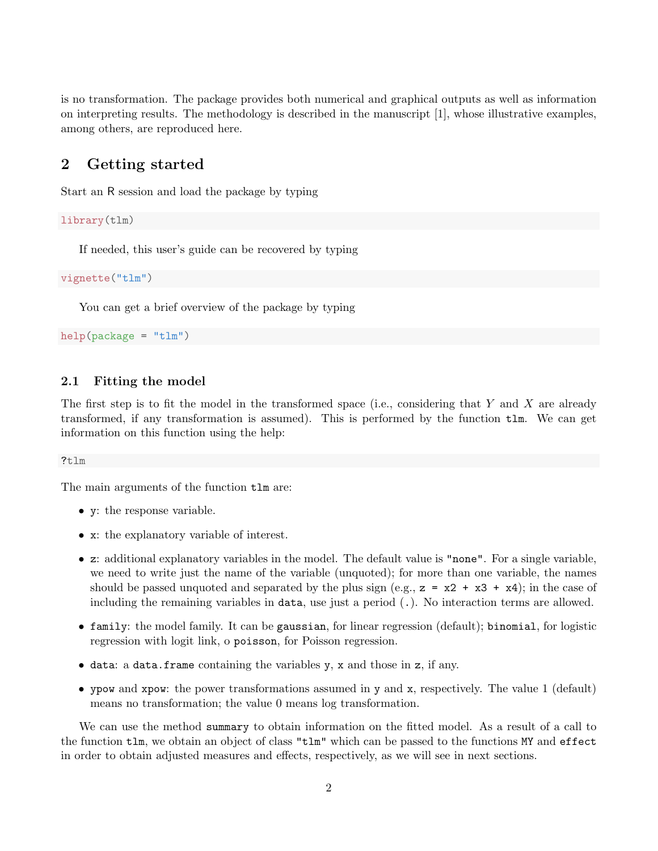is no transformation. The package provides both numerical and graphical outputs as well as information on interpreting results. The methodology is described in the manuscript [1], whose illustrative examples, among others, are reproduced here.

# 2 Getting started

Start an R session and load the package by typing

library(tlm)

If needed, this user's guide can be recovered by typing

vignette("tlm")

You can get a brief overview of the package by typing

```
help(package = "tlm")
```
### 2.1 Fitting the model

The first step is to fit the model in the transformed space (i.e., considering that Y and X are already transformed, if any transformation is assumed). This is performed by the function tlm. We can get information on this function using the help:

### ?tlm

The main arguments of the function tlm are:

- y: the response variable.
- x: the explanatory variable of interest.
- z: additional explanatory variables in the model. The default value is "none". For a single variable, we need to write just the name of the variable (unquoted); for more than one variable, the names should be passed unquoted and separated by the plus sign (e.g.,  $z = x2 + x3 + x4$ ); in the case of including the remaining variables in data, use just a period (.). No interaction terms are allowed.
- family: the model family. It can be gaussian, for linear regression (default); binomial, for logistic regression with logit link, o poisson, for Poisson regression.
- data: a data.frame containing the variables y, x and those in z, if any.
- ypow and xpow: the power transformations assumed in y and x, respectively. The value 1 (default) means no transformation; the value 0 means log transformation.

We can use the method summary to obtain information on the fitted model. As a result of a call to the function tlm, we obtain an object of class "tlm" which can be passed to the functions MY and effect in order to obtain adjusted measures and effects, respectively, as we will see in next sections.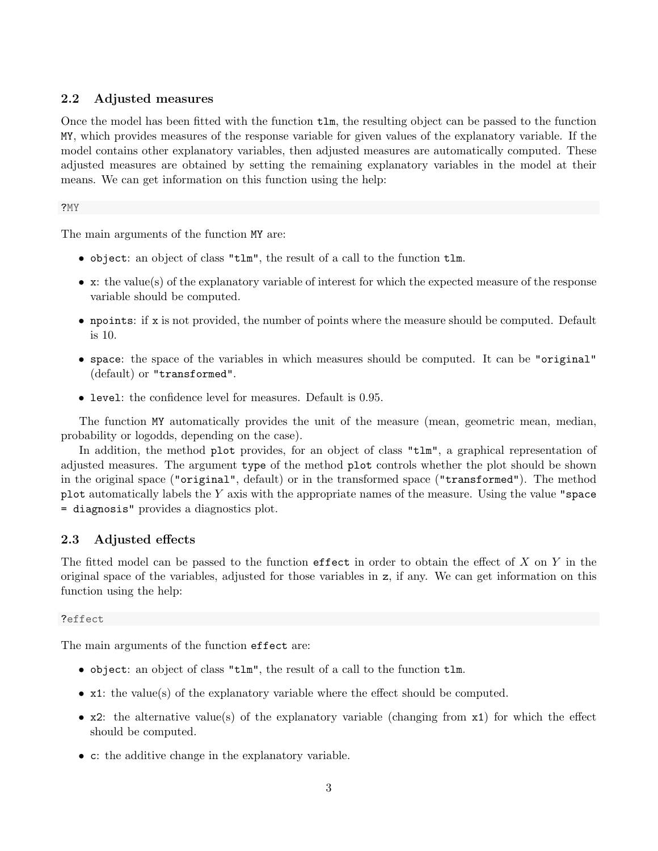### 2.2 Adjusted measures

Once the model has been fitted with the function tlm, the resulting object can be passed to the function MY, which provides measures of the response variable for given values of the explanatory variable. If the model contains other explanatory variables, then adjusted measures are automatically computed. These adjusted measures are obtained by setting the remaining explanatory variables in the model at their means. We can get information on this function using the help:

### ?MY

The main arguments of the function MY are:

- object: an object of class "tlm", the result of a call to the function tlm.
- x: the value(s) of the explanatory variable of interest for which the expected measure of the response variable should be computed.
- npoints: if x is not provided, the number of points where the measure should be computed. Default is 10.
- space: the space of the variables in which measures should be computed. It can be "original" (default) or "transformed".
- level: the confidence level for measures. Default is 0.95.

The function MY automatically provides the unit of the measure (mean, geometric mean, median, probability or logodds, depending on the case).

In addition, the method plot provides, for an object of class "tlm", a graphical representation of adjusted measures. The argument type of the method plot controls whether the plot should be shown in the original space ("original", default) or in the transformed space ("transformed"). The method plot automatically labels the  $Y$  axis with the appropriate names of the measure. Using the value "space = diagnosis" provides a diagnostics plot.

### 2.3 Adjusted effects

The fitted model can be passed to the function effect in order to obtain the effect of  $X$  on  $Y$  in the original space of the variables, adjusted for those variables in z, if any. We can get information on this function using the help:

### ?effect

The main arguments of the function effect are:

- object: an object of class "tlm", the result of a call to the function tlm.
- x1: the value(s) of the explanatory variable where the effect should be computed.
- x2: the alternative value(s) of the explanatory variable (changing from x1) for which the effect should be computed.
- c: the additive change in the explanatory variable.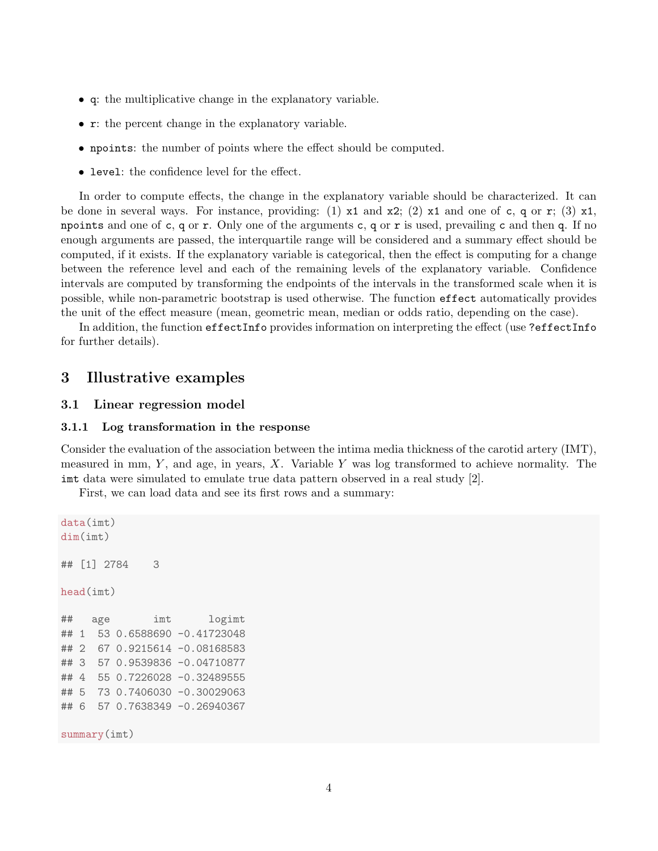- q: the multiplicative change in the explanatory variable.
- r: the percent change in the explanatory variable.
- npoints: the number of points where the effect should be computed.
- level: the confidence level for the effect.

In order to compute effects, the change in the explanatory variable should be characterized. It can be done in several ways. For instance, providing: (1)  $x1$  and  $x2$ ; (2)  $x1$  and one of c, q or r; (3)  $x1$ , npoints and one of c, q or r. Only one of the arguments c, q or r is used, prevailing c and then q. If no enough arguments are passed, the interquartile range will be considered and a summary effect should be computed, if it exists. If the explanatory variable is categorical, then the effect is computing for a change between the reference level and each of the remaining levels of the explanatory variable. Confidence intervals are computed by transforming the endpoints of the intervals in the transformed scale when it is possible, while non-parametric bootstrap is used otherwise. The function effect automatically provides the unit of the effect measure (mean, geometric mean, median or odds ratio, depending on the case).

In addition, the function effectInfo provides information on interpreting the effect (use ?effectInfo for further details).

### 3 Illustrative examples

### 3.1 Linear regression model

#### 3.1.1 Log transformation in the response

Consider the evaluation of the association between the intima media thickness of the carotid artery (IMT), measured in mm,  $Y$ , and age, in years,  $X$ . Variable  $Y$  was log transformed to achieve normality. The imt data were simulated to emulate true data pattern observed in a real study [2].

First, we can load data and see its first rows and a summary:

```
data(imt)
dim(imt)
## [1] 2784 3
head(imt)
## age imt logimt
## 1 53 0.6588690 -0.41723048
## 2 67 0.9215614 -0.08168583
## 3 57 0.9539836 -0.04710877
## 4 55 0.7226028 -0.32489555
## 5 73 0.7406030 -0.30029063
## 6 57 0.7638349 -0.26940367
summary(imt)
```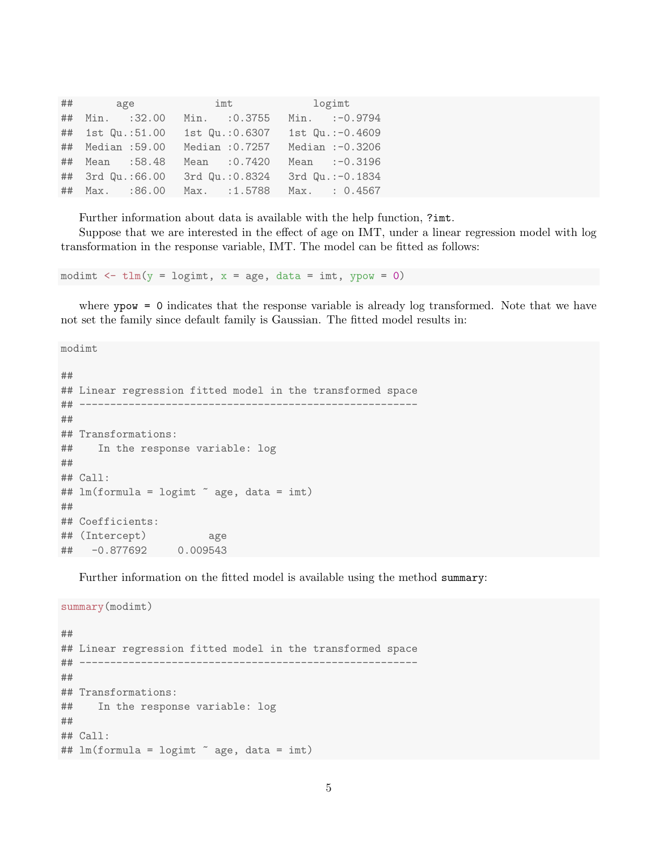|    |                     | $\#$ # age | imt             | logimt            |
|----|---------------------|------------|-----------------|-------------------|
| ## | Min. :32.00         |            | Min. : 0.3755   | Min. :- 0.9794    |
|    | ## 1st Qu.:51.00    |            | 1st Qu.: 0.6307 | 1st Qu.: -0.4609  |
|    | ## Median :59.00    |            | Median :0.7257  | Median $:-0.3206$ |
|    | ## Mean :58.48      |            | Mean : 0.7420   | Mean :- 0.3196    |
|    | ## 3rd Qu.:66.00    |            | 3rd Qu.:0.8324  | 3rd Qu.: - 0.1834 |
|    | $\#$ # Max. : 86.00 |            | Max. : 1.5788   | Max. : 0.4567     |

Further information about data is available with the help function, ?imt.

Suppose that we are interested in the effect of age on IMT, under a linear regression model with log transformation in the response variable, IMT. The model can be fitted as follows:

modimt  $\le$  tlm(y = logimt, x = age, data = imt, ypow = 0)

where yow = 0 indicates that the response variable is already log transformed. Note that we have not set the family since default family is Gaussian. The fitted model results in:

```
modimt
##
## Linear regression fitted model in the transformed space
## -------------------------------------------------------
##
## Transformations:
## In the response variable: log
##
## Call:
## lm(formula = logimt \tilde{ }</math> age, data = imt)##
## Coefficients:
## (Intercept) age
## -0.877692 0.009543
```
Further information on the fitted model is available using the method summary:

summary(modimt) ## ## Linear regression fitted model in the transformed space ## ------------------------------------------------------- ## ## Transformations: ## In the response variable: log ## ## Call: ## lm(formula = logimt " age, data = imt)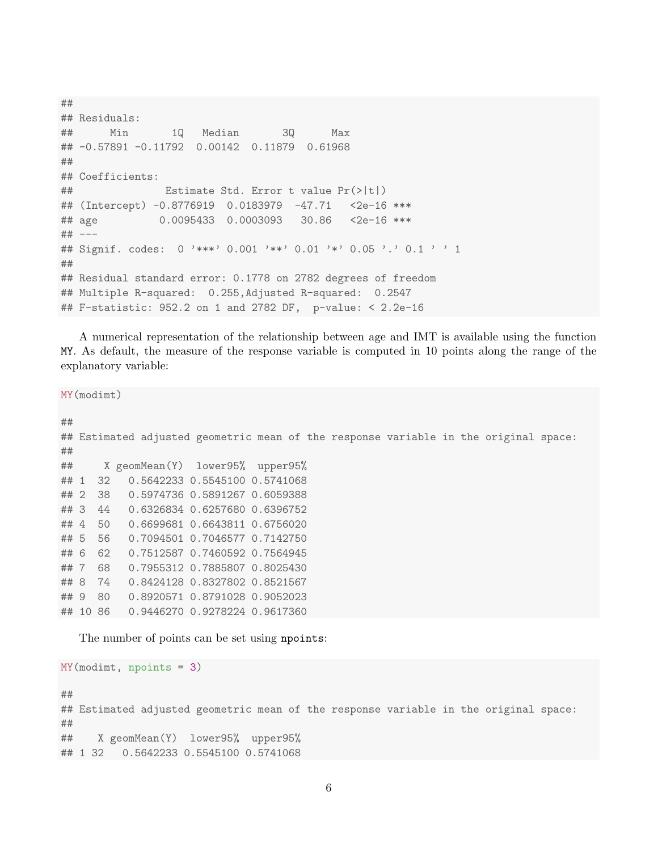```
##
## Residuals:
## Min 1Q Median 3Q Max
## -0.57891 -0.11792 0.00142 0.11879 0.61968
##
## Coefficients:
## Estimate Std. Error t value Pr(>|t|)
## (Intercept) -0.8776919 0.0183979 -47.71 <2e-16 ***
## age 0.0095433 0.0003093 30.86 <2e-16 ***
## ---
## Signif. codes: 0 '***' 0.001 '**' 0.01 '*' 0.05 '.' 0.1 ' ' 1
##
## Residual standard error: 0.1778 on 2782 degrees of freedom
## Multiple R-squared: 0.255,Adjusted R-squared: 0.2547
## F-statistic: 952.2 on 1 and 2782 DF, p-value: < 2.2e-16
```
A numerical representation of the relationship between age and IMT is available using the function MY. As default, the measure of the response variable is computed in 10 points along the range of the explanatory variable:

MY(modimt) ## ## Estimated adjusted geometric mean of the response variable in the original space: ## ## X geomMean(Y) lower95% upper95% ## 1 32 0.5642233 0.5545100 0.5741068 ## 2 38 0.5974736 0.5891267 0.6059388 ## 3 44 0.6326834 0.6257680 0.6396752 ## 4 50 0.6699681 0.6643811 0.6756020 ## 5 56 0.7094501 0.7046577 0.7142750 ## 6 62 0.7512587 0.7460592 0.7564945 ## 7 68 0.7955312 0.7885807 0.8025430 ## 8 74 0.8424128 0.8327802 0.8521567 ## 9 80 0.8920571 0.8791028 0.9052023 ## 10 86 0.9446270 0.9278224 0.9617360

The number of points can be set using npoints:

```
MY(modimt, npoints = 3)
##
## Estimated adjusted geometric mean of the response variable in the original space:
##
## X geomMean(Y) lower95% upper95%
## 1 32 0.5642233 0.5545100 0.5741068
```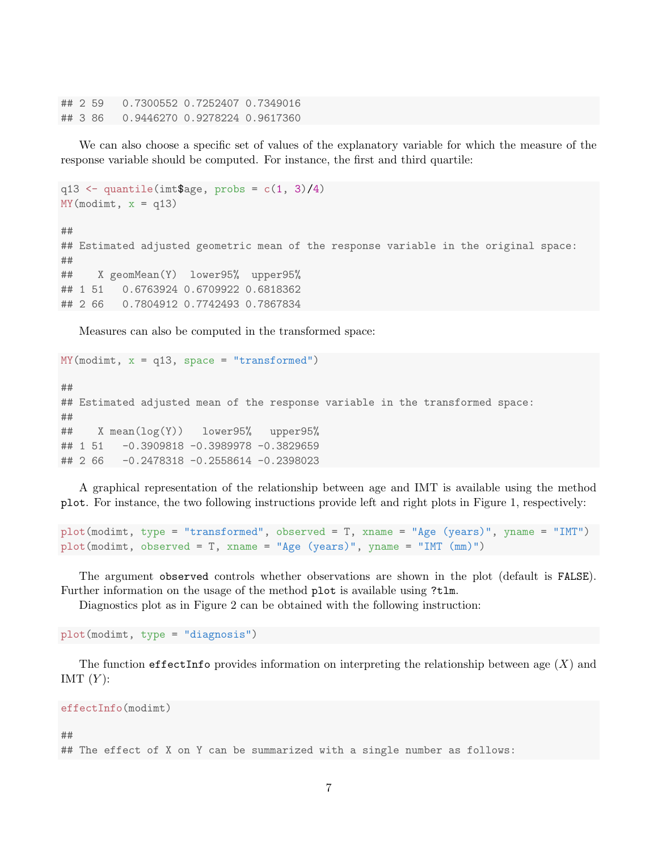## 2 59 0.7300552 0.7252407 0.7349016 ## 3 86 0.9446270 0.9278224 0.9617360

We can also choose a specific set of values of the explanatory variable for which the measure of the response variable should be computed. For instance, the first and third quartile:

```
q13 \leftarrow quantile(imt$age, probs = c(1, 3)/4)
MY(modimt, x = q13)##
## Estimated adjusted geometric mean of the response variable in the original space:
##
## X geomMean(Y) lower95% upper95%
## 1 51 0.6763924 0.6709922 0.6818362
## 2 66 0.7804912 0.7742493 0.7867834
```
Measures can also be computed in the transformed space:

 $MY(modimt, x = q13, space = "transformed")$ 

## ## Estimated adjusted mean of the response variable in the transformed space: ## ## X mean(log(Y)) lower95% upper95% ## 1 51 -0.3909818 -0.3989978 -0.3829659 ## 2 66 -0.2478318 -0.2558614 -0.2398023

A graphical representation of the relationship between age and IMT is available using the method plot. For instance, the two following instructions provide left and right plots in Figure 1, respectively:

```
plot(modimt, type = "transformed", observed = T, xname = "Age (years)", yname = "IMT")
plot(modimt, observed = T, xname = "Age (years)", yname = "IMT (mm)")
```
The argument observed controls whether observations are shown in the plot (default is FALSE). Further information on the usage of the method plot is available using ?tlm.

Diagnostics plot as in Figure 2 can be obtained with the following instruction:

plot(modimt, type = "diagnosis")

The function effectInfo provides information on interpreting the relationship between age  $(X)$  and IMT  $(Y)$ :

effectInfo(modimt)

#### ##

## The effect of X on Y can be summarized with a single number as follows: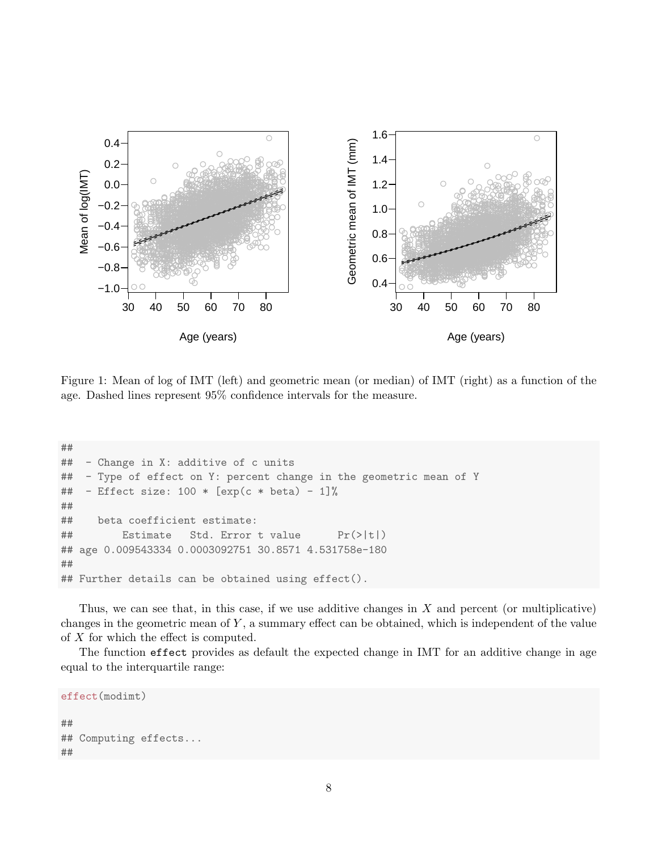

Figure 1: Mean of log of IMT (left) and geometric mean (or median) of IMT (right) as a function of the age. Dashed lines represent 95% confidence intervals for the measure.

```
####Change in X: additive of c units
##Type of effect on Y: percent change in the geometric mean of Y
##- Effect size: 100 * [exp(c * beta) - 1]\%##beta coefficient estimate:
####Estimate
                     Std. Error t value
                                              Pr(>\vert t \vert)## age 0.009543334 0.0003092751 30.8571 4.531758e-180
#### Further details can be obtained using effect().
```
Thus, we can see that, in this case, if we use additive changes in  $X$  and percent (or multiplicative) changes in the geometric mean of  $Y$ , a summary effect can be obtained, which is independent of the value of  $X$  for which the effect is computed.

The function effect provides as default the expected change in IMT for an additive change in age equal to the interquartile range:

```
effect(modimt)
#### Computing effects...
##
```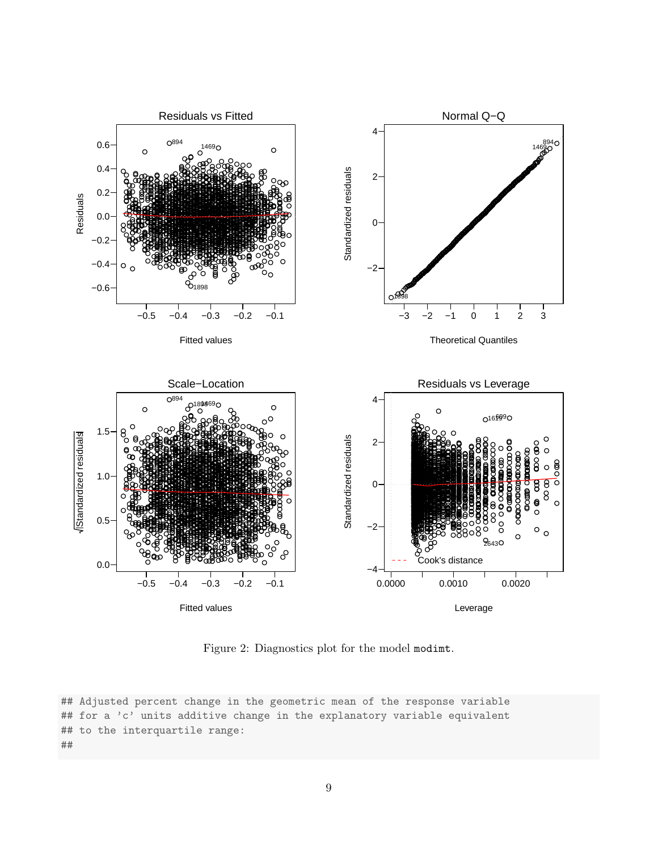

Figure 2: Diagnostics plot for the model modimt.

## Adjusted percent change in the geometric mean of the response variable ## for a 'c' units additive change in the explanatory variable equivalent ## to the interquartile range:  $##$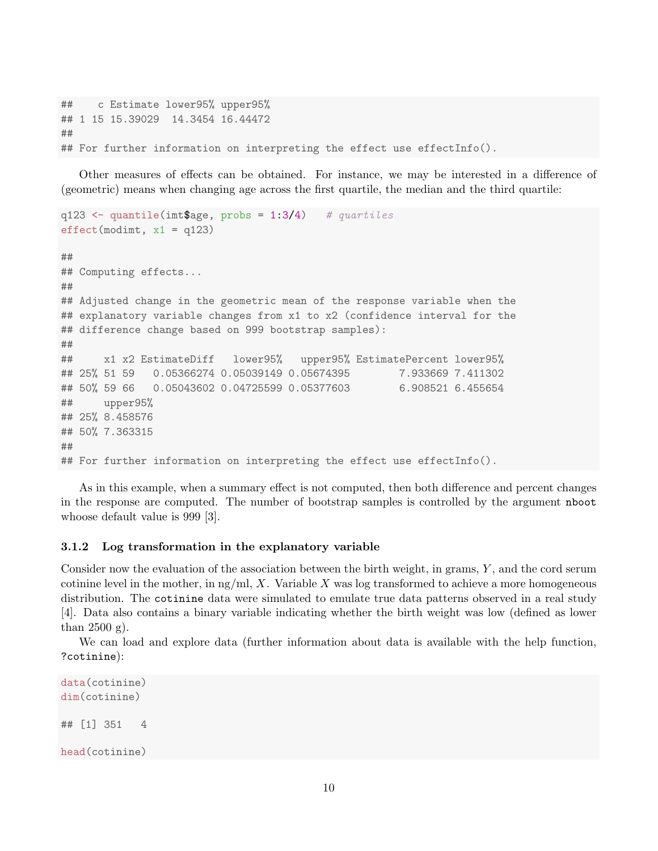## c Estimate lower95% upper95% ## 1 15 15.39029 14.3454 16.44472 ## ## For further information on interpreting the effect use effectInfo().

Other measures of effects can be obtained. For instance, we may be interested in a difference of (geometric) means when changing age across the first quartile, the median and the third quartile:

```
q123 <- quantile(imt$age, probs = 1:3/4) # quartiles
effect(modimt, x1 = q123)##
## Computing effects...
##
## Adjusted change in the geometric mean of the response variable when the
## explanatory variable changes from x1 to x2 (confidence interval for the
## difference change based on 999 bootstrap samples):
##
## x1 x2 EstimateDiff lower95% upper95% EstimatePercent lower95%
## 25% 51 59 0.05366274 0.05039149 0.05674395 7.933669 7.411302
## 50% 59 66 0.05043602 0.04725599 0.05377603 6.908521 6.455654
## upper95%
## 25% 8.458576
## 50% 7.363315
##
## For further information on interpreting the effect use effectInfo().
```
As in this example, when a summary effect is not computed, then both difference and percent changes in the response are computed. The number of bootstrap samples is controlled by the argument nboot whoose default value is 999 [3].

### 3.1.2 Log transformation in the explanatory variable

Consider now the evaluation of the association between the birth weight, in grams, Y , and the cord serum cotinine level in the mother, in  $\frac{ng}{ml}$ , X. Variable X was log transformed to achieve a more homogeneous distribution. The cotinine data were simulated to emulate true data patterns observed in a real study [4]. Data also contains a binary variable indicating whether the birth weight was low (defined as lower than  $2500$  g).

We can load and explore data (further information about data is available with the help function, ?cotinine):

```
data(cotinine)
dim(cotinine)
## [1] 351 4
head(cotinine)
```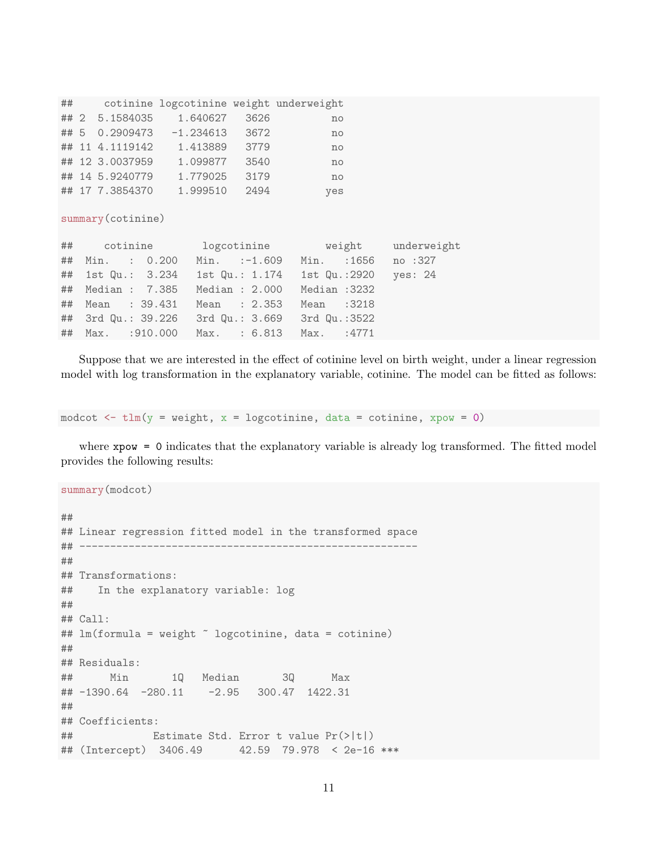|     |      | cotinine logcotinine weight underweight |                 | ##   |
|-----|------|-----------------------------------------|-----------------|------|
| no  | 3626 | 1.640627                                | ## 2 5.1584035  |      |
| no  | 3672 | $-1.234613$                             | 0.2909473       | ## 5 |
| no  | 3779 | 1.413889                                | ## 11 4.1119142 |      |
| no  | 3540 | 1.099877                                | ## 12 3.0037959 |      |
| no  | 3179 | 1.779025                                | ## 14 5.9240779 |      |
| yes | 2494 | 1.999510                                | ## 17 7.3854370 |      |

summary(cotinine)

| ## cotinine logcotinine weight underweight            |             |  |
|-------------------------------------------------------|-------------|--|
| ## Min. : 0.200 Min. :-1.609 Min. :1656 no :327       |             |  |
| ## 1st Qu.: 3.234 1st Qu.: 1.174 1st Qu.:2920 yes: 24 |             |  |
| ## Median : 7.385 Median : 2.000 Median :3232         |             |  |
| ## Mean : 39.431 Mean : 2.353                         | Mean : 3218 |  |
| ## 3rd Qu.: 39.226 3rd Qu.: 3.669 3rd Qu.:3522        |             |  |
| ## Max. : 910.000 Max. : 6.813 Max. : 4771            |             |  |

Suppose that we are interested in the effect of cotinine level on birth weight, under a linear regression model with log transformation in the explanatory variable, cotinine. The model can be fitted as follows:

```
modcot \leq tlm(y = weight, x = logcotinine, data = cotinine, xpow = 0)
```
where xpow = 0 indicates that the explanatory variable is already log transformed. The fitted model provides the following results:

```
summary(modcot)
##
## Linear regression fitted model in the transformed space
## -------------------------------------------------------
##
## Transformations:
## In the explanatory variable: log
##
## Call:
## lm(formula = weight ~ logcotinine, data = cotinine)
##
## Residuals:
## Min 1Q Median 3Q Max
## -1390.64 -280.11 -2.95 300.47 1422.31
##
## Coefficients:
## Estimate Std. Error t value Pr(>|t|)
## (Intercept) 3406.49 42.59 79.978 < 2e-16 ***
```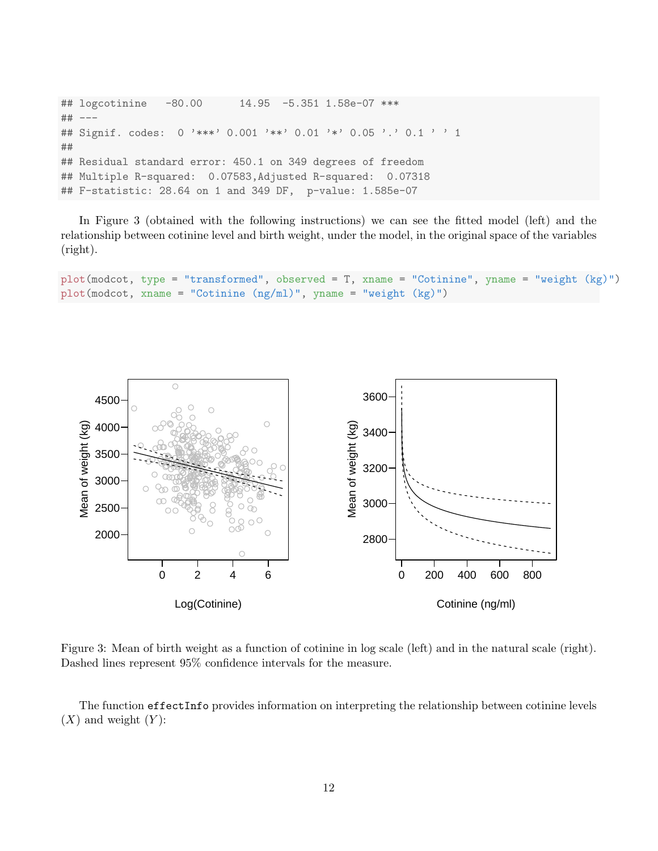```
## logcotinine -80.00 14.95 -5.351 1.58e-07 ***
## ---
## Signif. codes: 0 '***' 0.001 '**' 0.01 '*' 0.05 '.' 0.1 ' ' 1
##
## Residual standard error: 450.1 on 349 degrees of freedom
## Multiple R-squared: 0.07583,Adjusted R-squared: 0.07318
## F-statistic: 28.64 on 1 and 349 DF, p-value: 1.585e-07
```
In Figure 3 (obtained with the following instructions) we can see the fitted model (left) and the relationship between cotinine level and birth weight, under the model, in the original space of the variables (right).

```
plot(modcot, type = "transformed", observed = T, xname = "Cotinine", yname = "weight (kg)")
plot(modcot, xname = "Cotinine (ng/ml)", yname = "weight (kg)")
```


Figure 3: Mean of birth weight as a function of cotinine in log scale (left) and in the natural scale (right). Dashed lines represent 95% confidence intervals for the measure.

The function effectInfo provides information on interpreting the relationship between cotinine levels  $(X)$  and weight  $(Y)$ :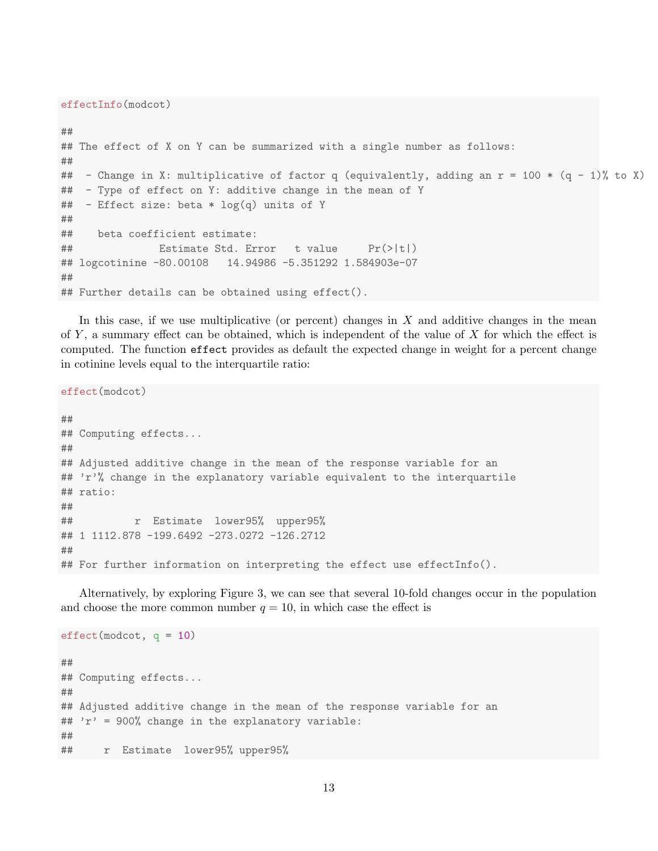effectInfo(modcot)

```
##
## The effect of X on Y can be summarized with a single number as follows:
##
## - Change in X: multiplicative of factor q (equivalently, adding an r = 100 * (q - 1)% to X)
## - Type of effect on Y: additive change in the mean of Y
## - Effect size: beta * log(q) units of Y
##
## beta coefficient estimate:
## Estimate Std. Error t value Pr(>|t|)
## logcotinine -80.00108 14.94986 -5.351292 1.584903e-07
##
## Further details can be obtained using effect().
```
In this case, if we use multiplicative (or percent) changes in  $X$  and additive changes in the mean of Y , a summary effect can be obtained, which is independent of the value of X for which the effect is computed. The function effect provides as default the expected change in weight for a percent change in cotinine levels equal to the interquartile ratio:

```
effect(modcot)
##
## Computing effects...
##
## Adjusted additive change in the mean of the response variable for an
## 'r'% change in the explanatory variable equivalent to the interquartile
## ratio:
##
## r Estimate lower95% upper95%
## 1 1112.878 -199.6492 -273.0272 -126.2712
##
## For further information on interpreting the effect use effectInfo().
```
Alternatively, by exploring Figure 3, we can see that several 10-fold changes occur in the population and choose the more common number  $q = 10$ , in which case the effect is

```
effect(modcot, q = 10)
##
## Computing effects...
##
## Adjusted additive change in the mean of the response variable for an
## 'r' = 900% change in the explanatory variable:
##
## r Estimate lower95% upper95%
```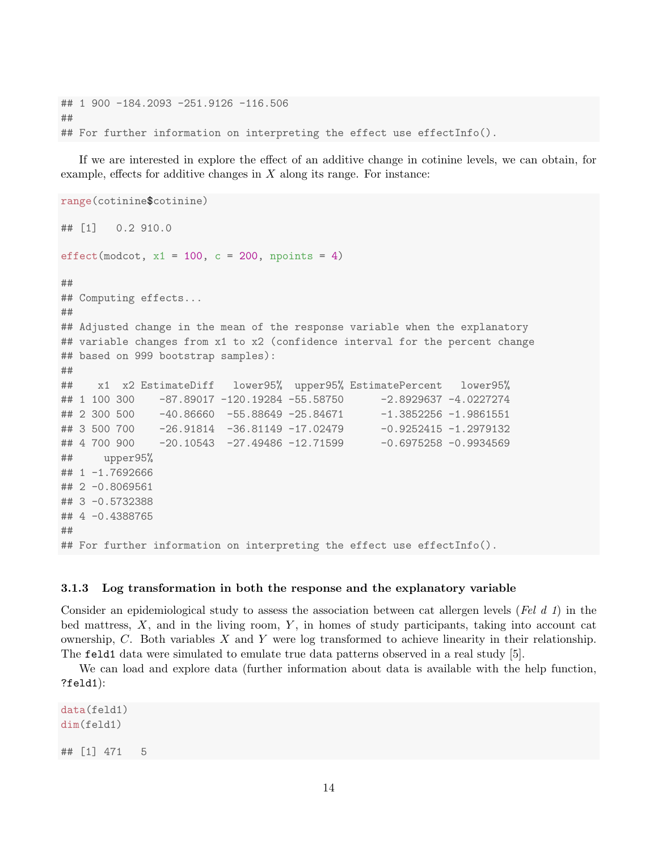## 1 900 -184.2093 -251.9126 -116.506 ## ## For further information on interpreting the effect use effectInfo().

If we are interested in explore the effect of an additive change in cotinine levels, we can obtain, for example, effects for additive changes in  $X$  along its range. For instance:

```
range(cotinine$cotinine)
## [1] 0.2 910.0
effect(modcot, x1 = 100, c = 200, npoints = 4)
##
## Computing effects...
##
## Adjusted change in the mean of the response variable when the explanatory
## variable changes from x1 to x2 (confidence interval for the percent change
## based on 999 bootstrap samples):
##
## x1 x2 EstimateDiff lower95% upper95% EstimatePercent lower95%
## 1 100 300 -87.89017 -120.19284 -55.58750 -2.8929637 -4.0227274
## 2 300 500 -40.86660 -55.88649 -25.84671 -1.3852256 -1.9861551
## 3 500 700 -26.91814 -36.81149 -17.02479 -0.9252415 -1.2979132
## 4 700 900 -20.10543 -27.49486 -12.71599 -0.6975258 -0.9934569
## upper95%
## 1 -1.7692666
## 2 -0.8069561
## 3 -0.5732388
## 4 -0.4388765
##
## For further information on interpreting the effect use effectInfo().
```
### 3.1.3 Log transformation in both the response and the explanatory variable

Consider an epidemiological study to assess the association between cat allergen levels (Fel d 1) in the bed mattress,  $X$ , and in the living room,  $Y$ , in homes of study participants, taking into account cat ownership, C. Both variables X and Y were log transformed to achieve linearity in their relationship. The feld1 data were simulated to emulate true data patterns observed in a real study [5].

We can load and explore data (further information about data is available with the help function, ?feld1):

data(feld1) dim(feld1) ## [1] 471 5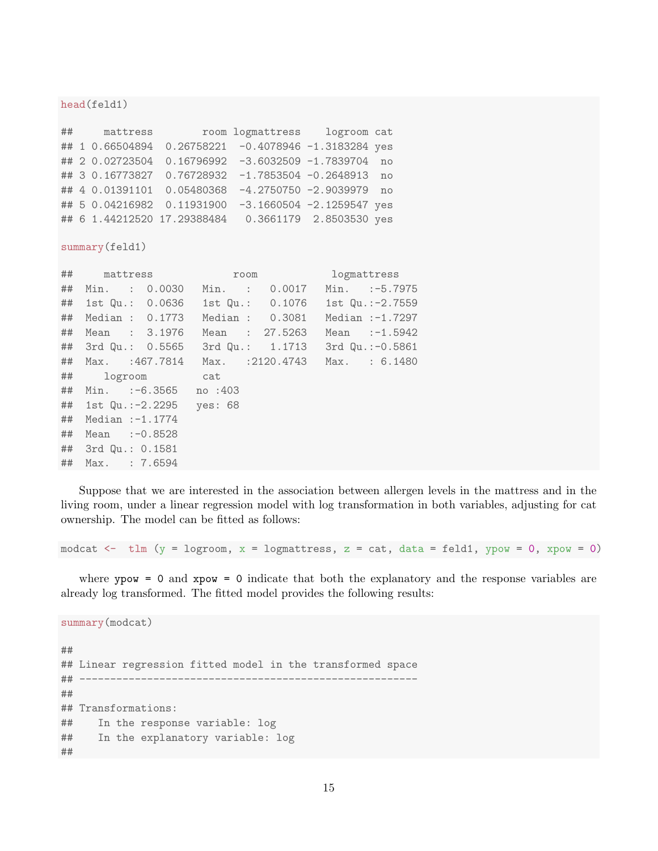#### head(feld1)

|  | ## mattress |                                                          | room logmattress logroom cat |    |
|--|-------------|----------------------------------------------------------|------------------------------|----|
|  |             | ## 1 0.66504894  0.26758221  -0.4078946  -1.3183284  yes |                              |    |
|  |             | ## 2 0.02723504 0.16796992 -3.6032509 -1.7839704 no      |                              |    |
|  |             | ## 3 0.16773827 0.76728932 -1.7853504 -0.2648913         |                              | no |
|  |             | ## 4 0.01391101 0.05480368 -4.2750750 -2.9039979 no      |                              |    |
|  |             | ## 5 0.04216982 0.11931900 -3.1660504 -2.1259547 yes     |                              |    |
|  |             | ## 6 1.44212520 17.29388484  0.3661179  2.8503530 yes    |                              |    |

summary(feld1)

| ## |                    | mattress                           |         | room           |                 | logmattress       |
|----|--------------------|------------------------------------|---------|----------------|-----------------|-------------------|
| ## |                    | Min. : 0.0030                      |         |                | Min. : 0.0017   | Min. :-5.7975     |
| ## |                    | 1st Qu.: 0.0636                    |         |                | 1st Qu.: 0.1076 | 1st $Qu.:-2.7559$ |
| ## |                    | Median : 0.1773                    |         |                | Median : 0.3081 | Median $:-1.7297$ |
| ## |                    | Mean : 3.1976                      |         | Mean : 27.5263 |                 | Mean $:-1.5942$   |
|    |                    | ## 3rd Qu.: 0.5565 3rd Qu.: 1.1713 |         |                |                 | 3rd Qu.: -0.5861  |
| ## |                    | Max. :467.7814 Max. :2120.4743     |         |                |                 | Max. : 6.1480     |
| ## |                    | logroom cat                        |         |                |                 |                   |
| ## |                    | Min. :-6.3565                      | no :403 |                |                 |                   |
|    |                    | ## 1st Qu.:-2.2295                 | yes: 68 |                |                 |                   |
| ## | Median $:-1.1774$  |                                    |         |                |                 |                   |
| ## | Mean $:-0.8528$    |                                    |         |                |                 |                   |
|    | ## 3rd Qu.: 0.1581 |                                    |         |                |                 |                   |
| ## | Max. : 7.6594      |                                    |         |                |                 |                   |

Suppose that we are interested in the association between allergen levels in the mattress and in the living room, under a linear regression model with log transformation in both variables, adjusting for cat ownership. The model can be fitted as follows:

modcat  $\le$  tlm (y = logroom, x = logmattress, z = cat, data = feld1, ypow = 0, xpow = 0)

where  $ypow = 0$  and  $xpow = 0$  indicate that both the explanatory and the response variables are already log transformed. The fitted model provides the following results:

summary(modcat) ## ## Linear regression fitted model in the transformed space ## ------------------------------------------------------- ## ## Transformations: ## In the response variable: log ## In the explanatory variable: log ##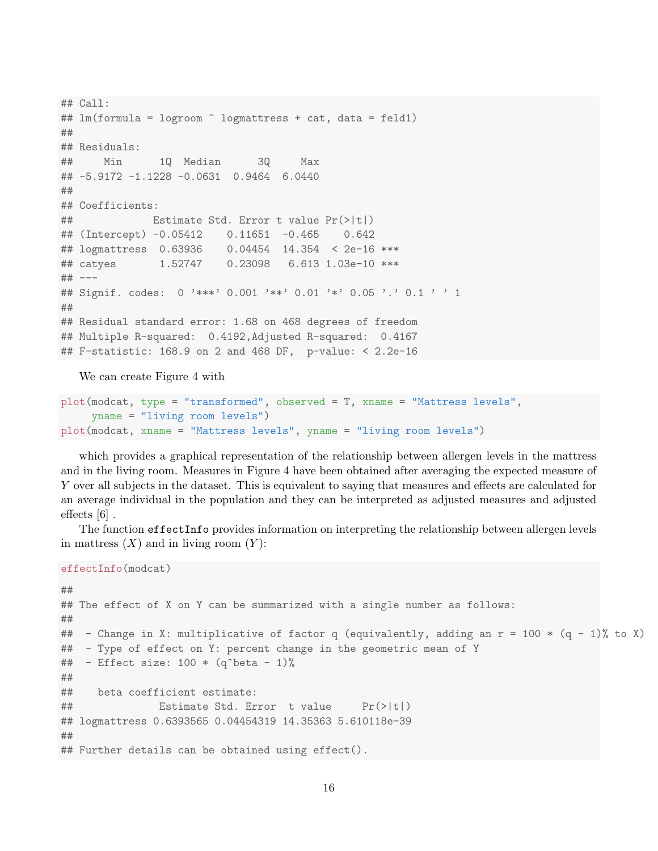```
## Call:
## lm(formula = logroom ~ logmattress + cat, data = feld1)
##
## Residuals:
## Min 1Q Median 3Q Max
## -5.9172 -1.1228 -0.0631 0.9464 6.0440
##
## Coefficients:
## Estimate Std. Error t value Pr(>|t|)
## (Intercept) -0.05412 0.11651 -0.465 0.642
## logmattress 0.63936 0.04454 14.354 < 2e-16 ***
## catyes 1.52747 0.23098 6.613 1.03e-10 ***
## ---
## Signif. codes: 0 '***' 0.001 '**' 0.01 '*' 0.05 '.' 0.1 ' ' 1
##
## Residual standard error: 1.68 on 468 degrees of freedom
## Multiple R-squared: 0.4192,Adjusted R-squared: 0.4167
## F-statistic: 168.9 on 2 and 468 DF, p-value: < 2.2e-16
```
We can create Figure 4 with

```
plot(modcat, type = "transformed", observed = T, xname = "Mattress levels",
     yname = "living room levels")
plot(modcat, xname = "Mattress levels", yname = "living room levels")
```
which provides a graphical representation of the relationship between allergen levels in the mattress and in the living room. Measures in Figure 4 have been obtained after averaging the expected measure of Y over all subjects in the dataset. This is equivalent to saying that measures and effects are calculated for an average individual in the population and they can be interpreted as adjusted measures and adjusted effects [6] .

The function effectInfo provides information on interpreting the relationship between allergen levels in mattress  $(X)$  and in living room  $(Y)$ :

```
effectInfo(modcat)
```

```
##
## The effect of X on Y can be summarized with a single number as follows:
##
## - Change in X: multiplicative of factor q (equivalently, adding an r = 100 * (q - 1)% to X)
## - Type of effect on Y: percent change in the geometric mean of Y
## - Effect size: 100 * (q^{\text{6}}beta - 1)\%##
## beta coefficient estimate:
## Estimate Std. Error t value Pr(>|t|)
## logmattress 0.6393565 0.04454319 14.35363 5.610118e-39
##
## Further details can be obtained using effect().
```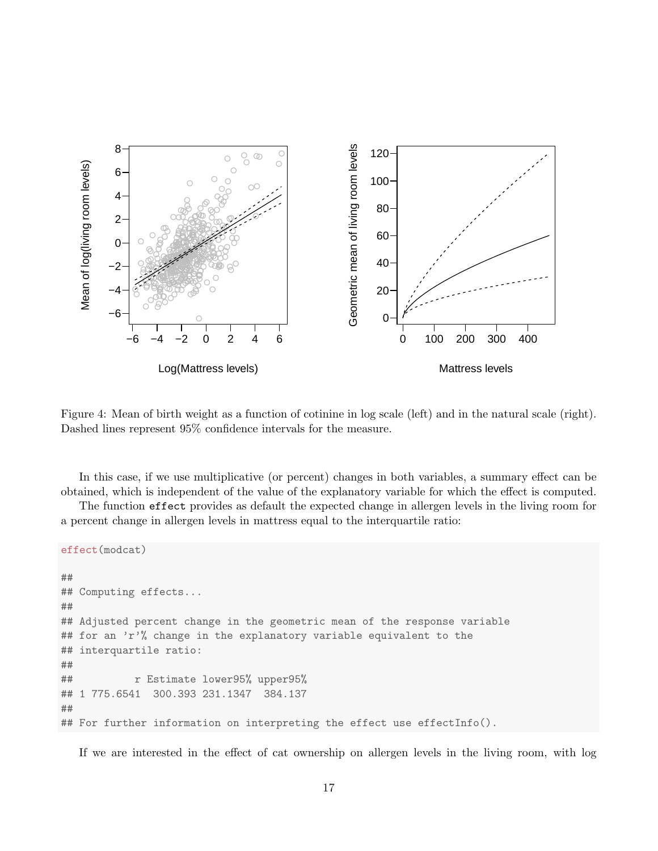

Figure 4: Mean of birth weight as a function of cotinine in log scale (left) and in the natural scale (right). Dashed lines represent 95% confidence intervals for the measure.

In this case, if we use multiplicative (or percent) changes in both variables, a summary effect can be obtained, which is independent of the value of the explanatory variable for which the effect is computed.

The function effect provides as default the expected change in allergen levels in the living room for a percent change in allergen levels in mattress equal to the interquartile ratio:

```
effect(modcat)
##
## Computing effects...
##
## Adjusted percent change in the geometric mean of the response variable
## for an 'r'', change in the explanatory variable equivalent to the
## interquartile ratio:
##
## r Estimate lower95% upper95%
## 1 775.6541 300.393 231.1347 384.137
##
## For further information on interpreting the effect use effectInfo().
```
If we are interested in the effect of cat ownership on allergen levels in the living room, with log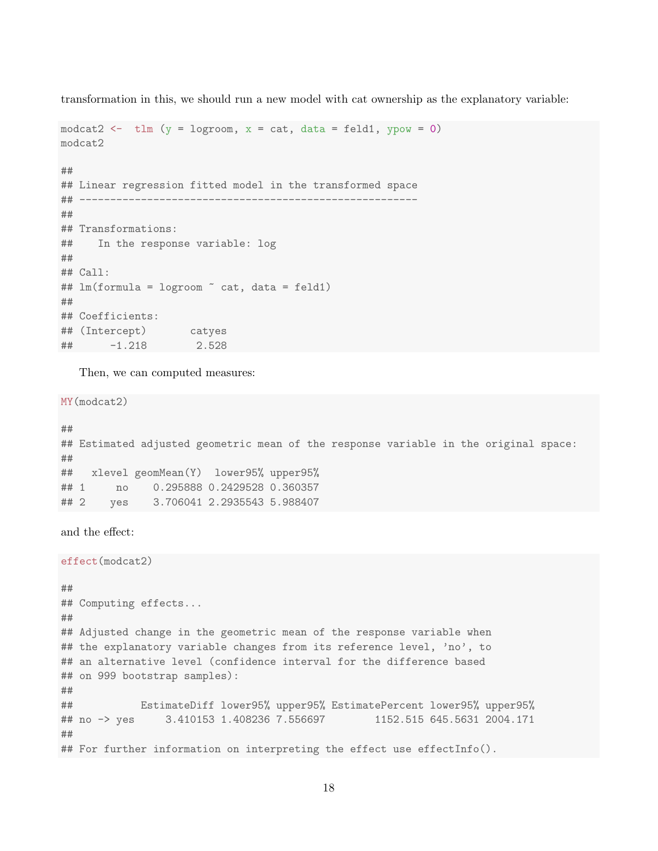transformation in this, we should run a new model with cat ownership as the explanatory variable:

```
modcat2 \leftarrow tlm (y = logroom, x = cat, data = feld1, ypow = 0)
modcat2
##
## Linear regression fitted model in the transformed space
## -------------------------------------------------------
##
## Transformations:
## In the response variable: log
##
## Call:
## lm(formula = logroom ~ cat, data = feld1)
##
## Coefficients:
## (Intercept) catyes
## -1.218 2.528
```
Then, we can computed measures:

MY(modcat2)

```
##
## Estimated adjusted geometric mean of the response variable in the original space:
##
## xlevel geomMean(Y) lower95% upper95%
## 1 no 0.295888 0.2429528 0.360357
## 2 yes 3.706041 2.2935543 5.988407
```
and the effect:

effect(modcat2)

```
##
## Computing effects...
##
## Adjusted change in the geometric mean of the response variable when
## the explanatory variable changes from its reference level, 'no', to
## an alternative level (confidence interval for the difference based
## on 999 bootstrap samples):
##
## EstimateDiff lower95% upper95% EstimatePercent lower95% upper95%
## no -> yes 3.410153 1.408236 7.556697 1152.515 645.5631 2004.171
##
## For further information on interpreting the effect use effectInfo().
```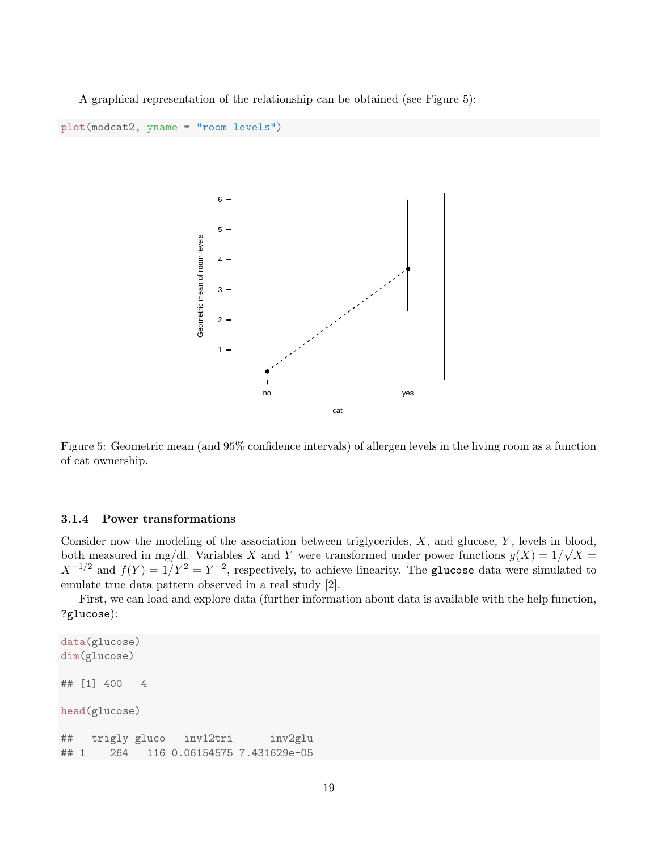A graphical representation of the relationship can be obtained (see Figure 5):

```
plot(modcat2, yname = "room levels")
```


Figure 5: Geometric mean (and 95% confidence intervals) of allergen levels in the living room as a function of cat ownership.

#### 3.1.4 Power transformations

Consider now the modeling of the association between triglycerides,  $X$ , and glucose,  $Y$ , levels in blood, both measured in mg/dl. Variables X and Y were transformed under power functions  $g(X) = 1/\sqrt{X}$  $X^{-1/2}$  and  $f(Y) = 1/Y^2 = Y^{-2}$ , respectively, to achieve linearity. The glucose data were simulated to emulate true data pattern observed in a real study [2].

First, we can load and explore data (further information about data is available with the help function, ?glucose):

```
data(glucose)
dim(glucose)
## [1] 400 4
head(glucose)
## trigly gluco inv12tri inv2glu
## 1 264 116 0.06154575 7.431629e-05
```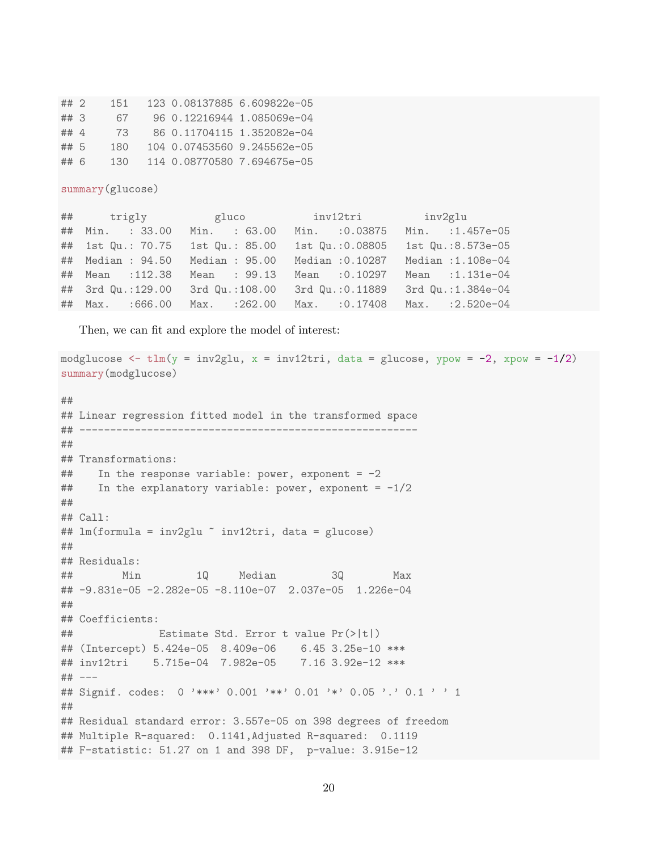| $##$ 2 | 151 |  | 123 0.08137885 6.609822e-05 |
|--------|-----|--|-----------------------------|
| $##$ 3 | 67  |  | 96 0.12216944 1.085069e-04  |
| ## 4   | 73  |  | 86 0.11704115 1.352082e-04  |
| ## 5   | 180 |  | 104 0.07453560 9.245562e-05 |
| ## 6   | 130 |  | 114 0.08770580 7.694675e-05 |

summary(glucose)

|                   | ## trigly gluco              | inv12tri         | inv2glu                         |
|-------------------|------------------------------|------------------|---------------------------------|
| ## Min. : 33.00   | Min. : 63.00                 | Min. : 0.03875   | Min. : 1.457e-05                |
| ## 1st Qu.: 70.75 | 1st Qu.: 85.00               | 1st Qu.:0.08805  | 1st Qu.:8.573e-05               |
| ## Median : 94.50 | Median : 95.00               | Median : 0.10287 | Median : 1.108e-04              |
| ## Mean : 112.38  | Mean : 99.13                 | Mean : 0.10297   | Mean :1.131e-04                 |
| ## 3rd Qu.:129.00 | 3rd Qu.:108.00               | 3rd Qu.: 0.11889 | 3rd Qu.:1.384e-04               |
|                   | ## Max. :666.00 Max. :262.00 |                  | Max. : 0.17408 Max. : 2.520e-04 |

Then, we can fit and explore the model of interest:

```
modglucose \le tlm(y = inv2glu, x = inv12tri, data = glucose, ypow = -2, xpow = -1/2)
summary(modglucose)
##
## Linear regression fitted model in the transformed space
## -------------------------------------------------------
##
## Transformations:
\# In the response variable: power, exponent = -2\# In the explanatory variable: power, exponent = -1/2##
## Call:
## lm(formula = inv2glu ~ inv12tri, data = glucose)
##
## Residuals:
## Min 1Q Median 3Q Max
## -9.831e-05 -2.282e-05 -8.110e-07 2.037e-05 1.226e-04
##
## Coefficients:
## Estimate Std. Error t value Pr(>|t|)
## (Intercept) 5.424e-05 8.409e-06 6.45 3.25e-10 ***
## inv12tri 5.715e-04 7.982e-05 7.16 3.92e-12 ***
## ---
## Signif. codes: 0 '***' 0.001 '**' 0.01 '*' 0.05 '.' 0.1 ' ' 1
##
## Residual standard error: 3.557e-05 on 398 degrees of freedom
## Multiple R-squared: 0.1141,Adjusted R-squared: 0.1119
## F-statistic: 51.27 on 1 and 398 DF, p-value: 3.915e-12
```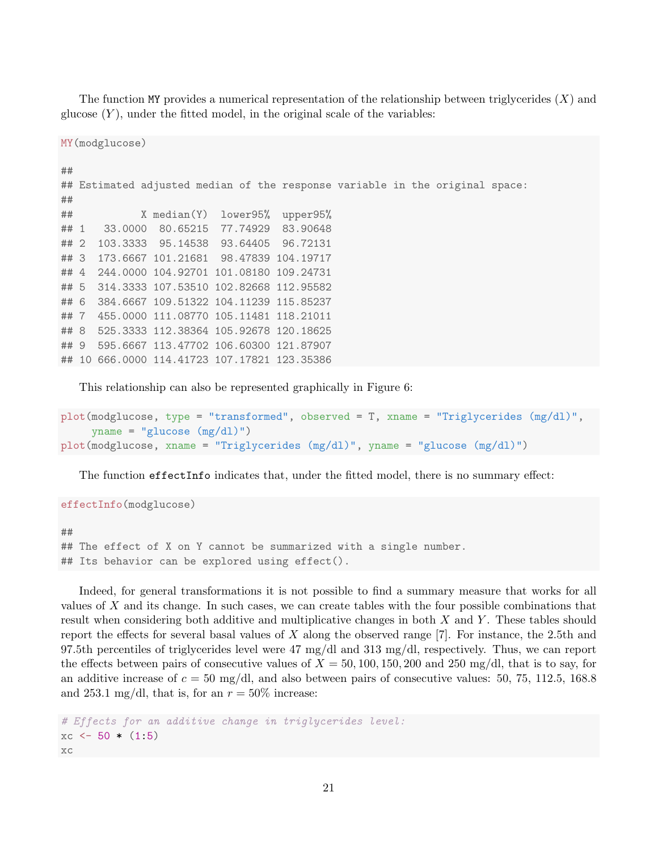The function MY provides a numerical representation of the relationship between triglycerides  $(X)$  and glucose  $(Y)$ , under the fitted model, in the original scale of the variables:

MY(modglucose)

```
##
## Estimated adjusted median of the response variable in the original space:
##
## X median(Y) lower95% upper95%
## 1 33.0000 80.65215 77.74929 83.90648
## 2 103.3333 95.14538 93.64405 96.72131
## 3 173.6667 101.21681 98.47839 104.19717
## 4 244.0000 104.92701 101.08180 109.24731
## 5 314.3333 107.53510 102.82668 112.95582
## 6 384.6667 109.51322 104.11239 115.85237
## 7 455.0000 111.08770 105.11481 118.21011
## 8 525.3333 112.38364 105.92678 120.18625
## 9 595.6667 113.47702 106.60300 121.87907
## 10 666.0000 114.41723 107.17821 123.35386
```
This relationship can also be represented graphically in Figure 6:

```
plot(modglucose, type = "transformed", observed = T, xname = "Triglycerides (mg/dl)",
     yname = "glucose (mg/dl)")plot(modglucose, xname = "Triglycerides (mg/dl)", yname = "glucose (mg/dl)")
```
The function effectInfo indicates that, under the fitted model, there is no summary effect:

effectInfo(modglucose)

## ## The effect of X on Y cannot be summarized with a single number. ## Its behavior can be explored using effect().

Indeed, for general transformations it is not possible to find a summary measure that works for all values of X and its change. In such cases, we can create tables with the four possible combinations that result when considering both additive and multiplicative changes in both  $X$  and  $Y$ . These tables should report the effects for several basal values of X along the observed range  $[7]$ . For instance, the 2.5th and 97.5th percentiles of triglycerides level were 47 mg/dl and 313 mg/dl, respectively. Thus, we can report the effects between pairs of consecutive values of  $X = 50, 100, 150, 200$  and 250 mg/dl, that is to say, for an additive increase of  $c = 50$  mg/dl, and also between pairs of consecutive values: 50, 75, 112.5, 168.8 and 253.1 mg/dl, that is, for an  $r = 50\%$  increase:

```
# Effects for an additive change in triglycerides level:
xc \leftarrow 50 * (1:5)xc
```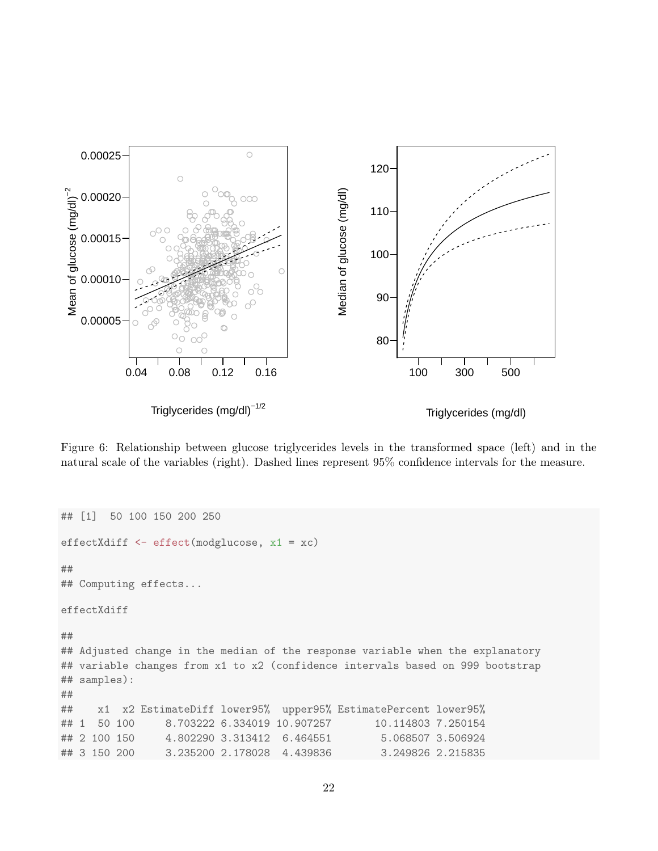

Figure 6: Relationship between glucose triglycerides levels in the transformed space (left) and in the natural scale of the variables (right). Dashed lines represent 95% confidence intervals for the measure.

```
## [1] 50 100 150 200 250
effectXdiff <- effect(modglucose, x1 = xc)
##
## Computing effects...
effectXdiff
##
## Adjusted change in the median of the response variable when the explanatory
## variable changes from x1 to x2 (confidence intervals based on 999 bootstrap
## samples):
##
## x1 x2 EstimateDiff lower95% upper95% EstimatePercent lower95%
## 1 50 100 8.703222 6.334019 10.907257 10.114803 7.250154
## 2 100 150 4.802290 3.313412 6.464551 5.068507 3.506924
## 3 150 200 3.235200 2.178028 4.439836 3.249826 2.215835
```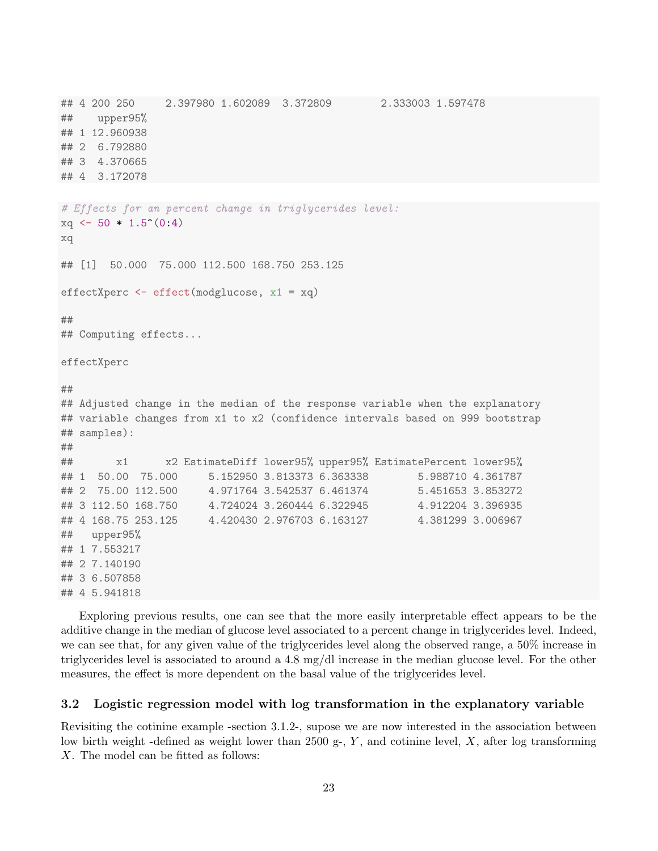```
## 4 200 250 2.397980 1.602089 3.372809 2.333003 1.597478
## upper95%
## 1 12.960938
## 2 6.792880
## 3 4.370665
## 4 3.172078
# Effects for an percent change in triglycerides level:
xq \leftarrow 50 * 1.5^{\circ}(0:4)xq
## [1] 50.000 75.000 112.500 168.750 253.125
effectXperc <- effect(modglucose, x1 = xq)
##
## Computing effects...
effectXperc
##
## Adjusted change in the median of the response variable when the explanatory
## variable changes from x1 to x2 (confidence intervals based on 999 bootstrap
## samples):
##
## x1 x2 EstimateDiff lower95% upper95% EstimatePercent lower95%
## 1 50.00 75.000 5.152950 3.813373 6.363338 5.988710 4.361787
## 2 75.00 112.500 4.971764 3.542537 6.461374 5.451653 3.853272
## 3 112.50 168.750 4.724024 3.260444 6.322945 4.912204 3.396935
## 4 168.75 253.125 4.420430 2.976703 6.163127 4.381299 3.006967
## upper95%
## 1 7.553217
## 2 7.140190
## 3 6.507858
## 4 5.941818
```
Exploring previous results, one can see that the more easily interpretable effect appears to be the additive change in the median of glucose level associated to a percent change in triglycerides level. Indeed, we can see that, for any given value of the triglycerides level along the observed range, a 50% increase in triglycerides level is associated to around a 4.8 mg/dl increase in the median glucose level. For the other measures, the effect is more dependent on the basal value of the triglycerides level.

### 3.2 Logistic regression model with log transformation in the explanatory variable

Revisiting the cotinine example -section 3.1.2-, supose we are now interested in the association between low birth weight -defined as weight lower than 2500 g-,  $Y$ , and cotinine level,  $X$ , after log transforming X. The model can be fitted as follows: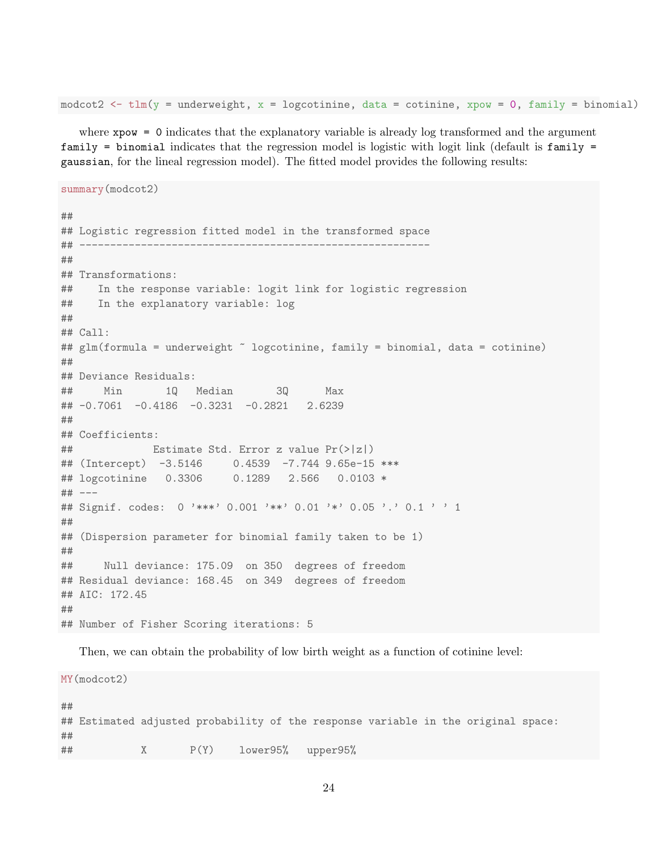modcot2 <- tlm(y = underweight, x = logcotinine, data = cotinine, xpow = 0, family = binomial)

where xpow = 0 indicates that the explanatory variable is already log transformed and the argument family = binomial indicates that the regression model is logistic with logit link (default is family = gaussian, for the lineal regression model). The fitted model provides the following results:

```
summary(modcot2)
##
## Logistic regression fitted model in the transformed space
## ---------------------------------------------------------
##
## Transformations:
## In the response variable: logit link for logistic regression
## In the explanatory variable: log
##
## Call:
## glm(formula = underweight ~ logcotinine, family = binomial, data = cotinine)
##
## Deviance Residuals:
## Min 1Q Median 3Q Max
## -0.7061 -0.4186 -0.3231 -0.2821 2.6239
##
## Coefficients:
## Estimate Std. Error z value Pr(>|z|)
## (Intercept) -3.5146 0.4539 -7.744 9.65e-15 ***
## logcotinine 0.3306 0.1289 2.566 0.0103 *
## ---
## Signif. codes: 0 '***' 0.001 '**' 0.01 '*' 0.05 '.' 0.1 ' ' 1
##
## (Dispersion parameter for binomial family taken to be 1)
##
## Null deviance: 175.09 on 350 degrees of freedom
## Residual deviance: 168.45 on 349 degrees of freedom
## AIC: 172.45
##
## Number of Fisher Scoring iterations: 5
```
Then, we can obtain the probability of low birth weight as a function of cotinine level:

MY(modcot2) ## ## Estimated adjusted probability of the response variable in the original space: ## ## X P(Y) lower95% upper95%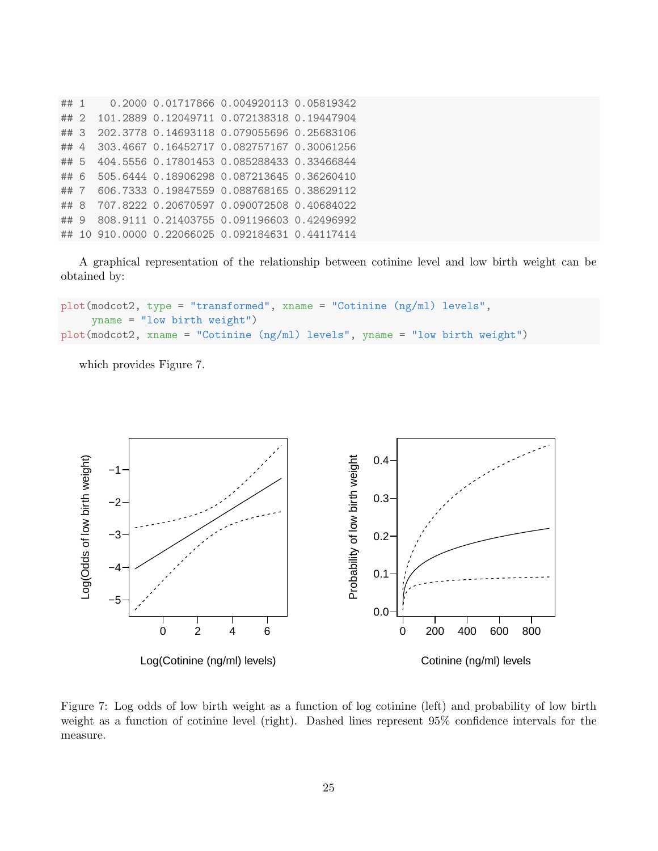## 1 0.2000 0.01717866 0.004920113 0.05819342 ## 2 101.2889 0.12049711 0.072138318 0.19447904 ## 3 202.3778 0.14693118 0.079055696 0.25683106 ## 4 303.4667 0.16452717 0.082757167 0.30061256 ## 5 404.5556 0.17801453 0.085288433 0.33466844 ## 6 505.6444 0.18906298 0.087213645 0.36260410 ## 7 606.7333 0.19847559 0.088768165 0.38629112 ## 8 707.8222 0.20670597 0.090072508 0.40684022 ## 9 808.9111 0.21403755 0.091196603 0.42496992 ## 10 910.0000 0.22066025 0.092184631 0.44117414

A graphical representation of the relationship between cotinine level and low birth weight can be obtained by:

```
plot(modcot2, type = "transformed", xname = "Cotinine (ng/ml) levels",
     yname = "low birth weight")
plot(modcot2, xname = "Cotinine (ng/ml) levels", yname = "low birth weight")
```
which provides Figure 7.



Figure 7: Log odds of low birth weight as a function of log cotinine (left) and probability of low birth weight as a function of cotinine level (right). Dashed lines represent 95% confidence intervals for the measure.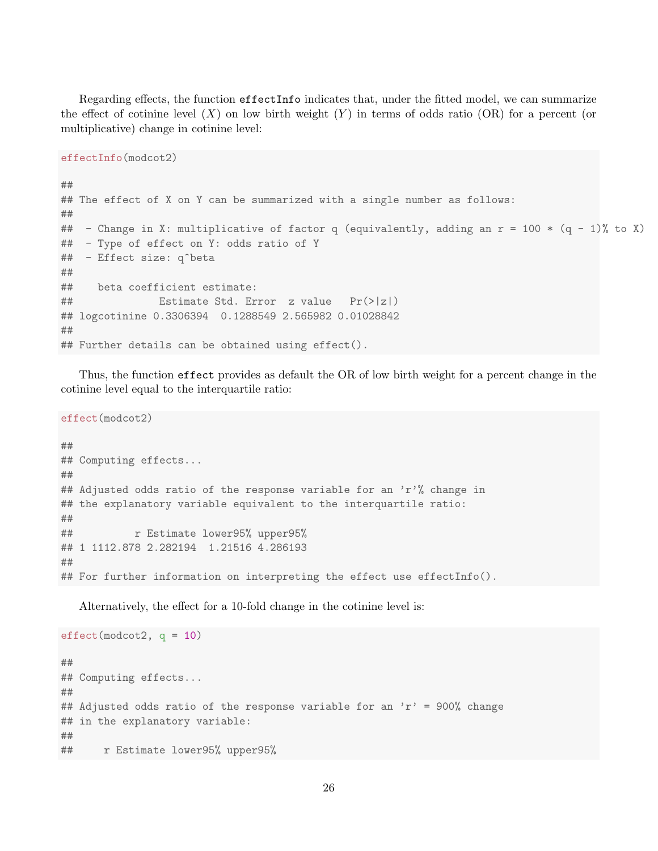Regarding effects, the function effectInfo indicates that, under the fitted model, we can summarize the effect of cotinine level  $(X)$  on low birth weight  $(Y)$  in terms of odds ratio  $(OR)$  for a percent (or multiplicative) change in cotinine level:

effectInfo(modcot2)

```
##
## The effect of X on Y can be summarized with a single number as follows:
##
## - Change in X: multiplicative of factor q (equivalently, adding an r = 100 * (q - 1)% to X)
## - Type of effect on Y: odds ratio of Y
## - Effect size: q^beta
##
## beta coefficient estimate:
## Estimate Std. Error z value Pr(>|z|)
## logcotinine 0.3306394 0.1288549 2.565982 0.01028842
##
## Further details can be obtained using effect().
```
Thus, the function effect provides as default the OR of low birth weight for a percent change in the cotinine level equal to the interquartile ratio:

effect(modcot2)

## ## Computing effects... ## ## Adjusted odds ratio of the response variable for an  $'r''$ , change in ## the explanatory variable equivalent to the interquartile ratio: ## ## r Estimate lower95% upper95% ## 1 1112.878 2.282194 1.21516 4.286193 ## ## For further information on interpreting the effect use effectInfo().

Alternatively, the effect for a 10-fold change in the cotinine level is:

```
effect(modcot2, q = 10)
##
## Computing effects...
##
## Adjusted odds ratio of the response variable for an 'r' = 900% change
## in the explanatory variable:
##
## r Estimate lower95% upper95%
```